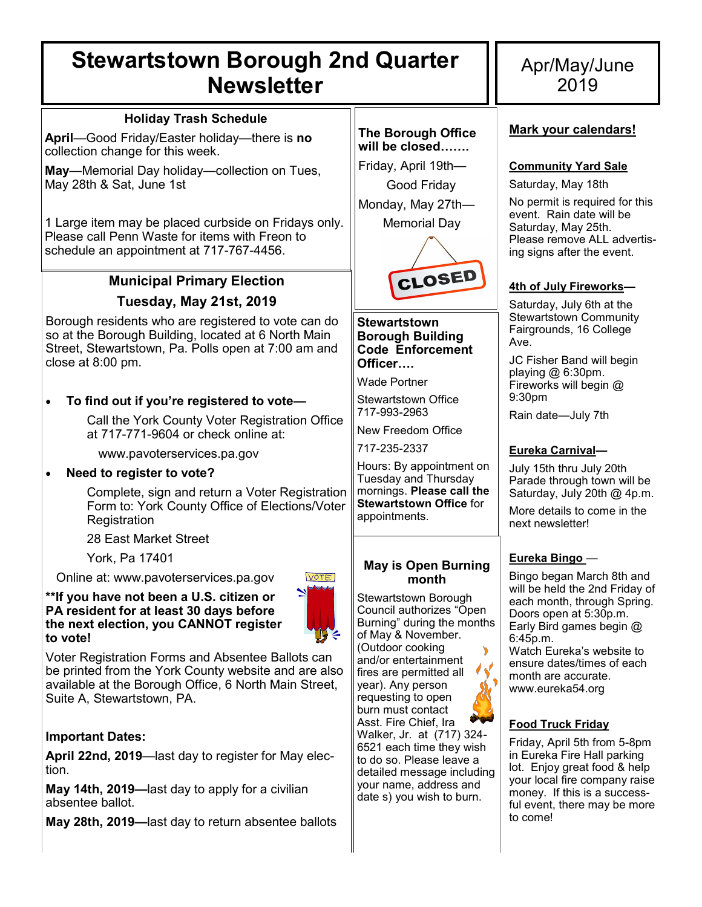# **Stewartstown Borough 2nd Quarter Newsletter**

### **Holiday Trash Schedule**

**April**—Good Friday/Easter holiday—there is **no**  collection change for this week.

**May**—Memorial Day holiday—collection on Tues, May 28th & Sat, June 1st

1 Large item may be placed curbside on Fridays only. Please call Penn Waste for items with Freon to schedule an appointment at 717-767-4456.

# **Municipal Primary Election**

## **Tuesday, May 21st, 2019**

Borough residents who are registered to vote can do so at the Borough Building, located at 6 North Main Street, Stewartstown, Pa. Polls open at 7:00 am and close at 8:00 pm.

## • **To find out if you're registered to vote—**

Call the York County Voter Registration Office at 717-771-9604 or check online at:

www.pavoterservices.pa.gov

### • **Need to register to vote?**

Complete, sign and return a Voter Registration Form to: York County Office of Elections/Voter **Registration** 

28 East Market Street

York, Pa 17401

Online at: www.pavoterservices.pa.gov

**\*\*If you have not been a U.S. citizen or PA resident for at least 30 days before the next election, you CANNOT register to vote!** 



Voter Registration Forms and Absentee Ballots can be printed from the York County website and are also available at the Borough Office, 6 North Main Street, Suite A, Stewartstown, PA.

## **Important Dates:**

**April 22nd, 2019**—last day to register for May election.

**May 14th, 2019—**last day to apply for a civilian absentee ballot.

**May 28th, 2019—**last day to return absentee ballots

#### **The Borough Office will be closed…….**

Friday, April 19th— Good Friday Monday, May 27th— Memorial Day



### **Stewartstown Borough Building Code Enforcement Officer….**

Wade Portner

Stewartstown Office 717-993-2963

New Freedom Office

717-235-2337

Hours: By appointment on Tuesday and Thursday mornings. **Please call the Stewartstown Office** for appointments.

### **May is Open Burning month**

Stewartstown Borough Council authorizes "Open Burning" during the months of May & November. (Outdoor cooking and/or entertainment fires are permitted all year). Any person requesting to open burn must contact Asst. Fire Chief, Ira Walker, Jr. at (717) 324- 6521 each time they wish to do so. Please leave a detailed message including your name, address and date s) you wish to burn.

# Apr/May/June 2019

### **Mark your calendars!**

### **Community Yard Sale**

Saturday, May 18th

No permit is required for this event. Rain date will be Saturday, May 25th. Please remove ALL advertising signs after the event.

### **4th of July Fireworks—**

Saturday, July 6th at the Stewartstown Community Fairgrounds, 16 College Ave.

JC Fisher Band will begin playing @ 6:30pm. Fireworks will begin @ 9:30pm

Rain date—July 7th

## **Eureka Carnival—**

July 15th thru July 20th Parade through town will be Saturday, July 20th @ 4p.m.

More details to come in the next newsletter!

### **Eureka Bingo** —

Bingo began March 8th and will be held the 2nd Friday of each month, through Spring. Doors open at 5:30p.m. Early Bird games begin @ 6:45p.m. Watch Eureka's website to ensure dates/times of each month are accurate.

www.eureka54.org

## **Food Truck Friday**

Friday, April 5th from 5-8pm in Eureka Fire Hall parking lot. Enjoy great food & help your local fire company raise money. If this is a successful event, there may be more to come!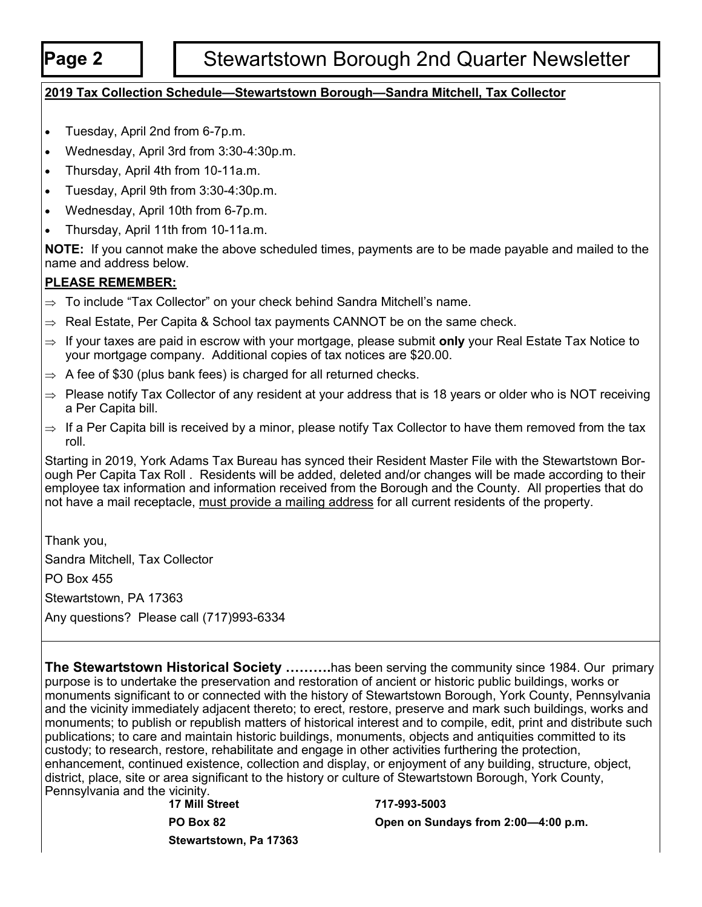# **Page 2** | Stewartstown Borough 2nd Quarter Newsletter

## **2019 Tax Collection Schedule—Stewartstown Borough—Sandra Mitchell, Tax Collector**

- Tuesday, April 2nd from 6-7p.m.
- Wednesday, April 3rd from 3:30-4:30p.m.
- Thursday, April 4th from 10-11a.m.
- Tuesday, April 9th from 3:30-4:30p.m.
- Wednesday, April 10th from 6-7p.m.
- Thursday, April 11th from 10-11a.m.

**NOTE:** If you cannot make the above scheduled times, payments are to be made payable and mailed to the name and address below.

### **PLEASE REMEMBER:**

- $\Rightarrow$  To include "Tax Collector" on your check behind Sandra Mitchell's name.
- $\Rightarrow$  Real Estate, Per Capita & School tax payments CANNOT be on the same check.
- ⇒ If your taxes are paid in escrow with your mortgage, please submit **only** your Real Estate Tax Notice to your mortgage company. Additional copies of tax notices are \$20.00.
- $\Rightarrow$  A fee of \$30 (plus bank fees) is charged for all returned checks.
- $\Rightarrow$  Please notify Tax Collector of any resident at your address that is 18 years or older who is NOT receiving a Per Capita bill.
- $\Rightarrow$  If a Per Capita bill is received by a minor, please notify Tax Collector to have them removed from the tax roll.

Starting in 2019, York Adams Tax Bureau has synced their Resident Master File with the Stewartstown Borough Per Capita Tax Roll . Residents will be added, deleted and/or changes will be made according to their employee tax information and information received from the Borough and the County. All properties that do not have a mail receptacle, must provide a mailing address for all current residents of the property.

Thank you, Sandra Mitchell, Tax Collector PO Box 455

Stewartstown, PA 17363

Any questions? Please call (717)993-6334

**The Stewartstown Historical Society ……….**has been serving the community since 1984. Our primary purpose is to undertake the preservation and restoration of ancient or historic public buildings, works or monuments significant to or connected with the history of Stewartstown Borough, York County, Pennsylvania and the vicinity immediately adjacent thereto; to erect, restore, preserve and mark such buildings, works and monuments; to publish or republish matters of historical interest and to compile, edit, print and distribute such publications; to care and maintain historic buildings, monuments, objects and antiquities committed to its custody; to research, restore, rehabilitate and engage in other activities furthering the protection, enhancement, continued existence, collection and display, or enjoyment of any building, structure, object, district, place, site or area significant to the history or culture of Stewartstown Borough, York County, Pennsylvania and the vicinity.

**17 Mill Street 717-993-5003**

**PO Box 82 Open on Sundays from 2:00—4:00 p.m.**

**Stewartstown, Pa 17363**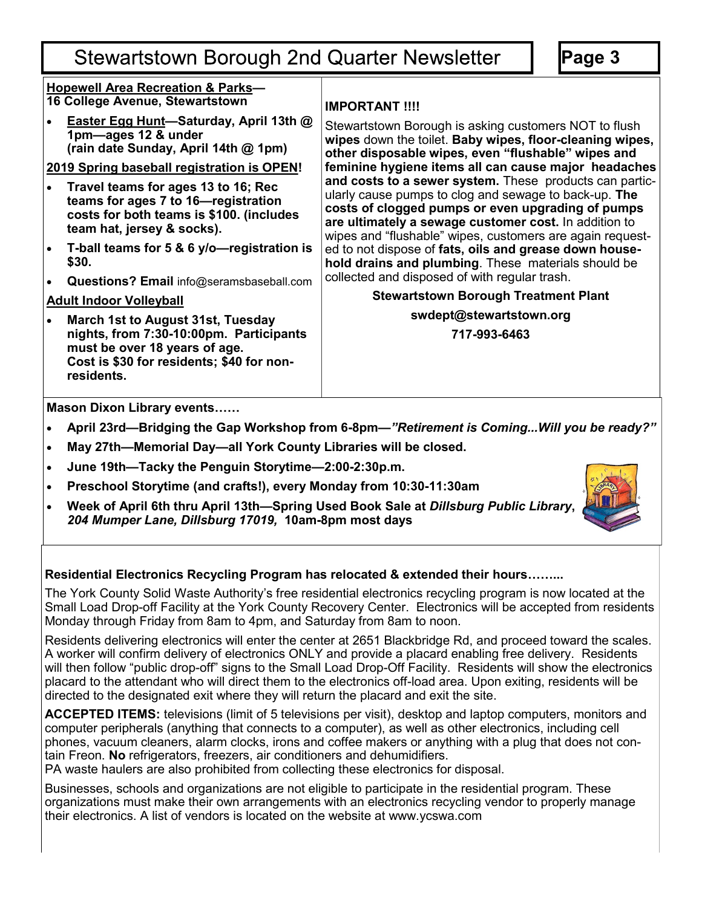# **Stewartstown Borough 2nd Quarter Newsletter**

**Page 3**

### **Hopewell Area Recreation & Parks— 16 College Avenue, Stewartstown**

• **Easter Egg Hunt—Saturday, April 13th @ 1pm—ages 12 & under (rain date Sunday, April 14th @ 1pm)**

## **2019 Spring baseball registration is OPEN!**

- **Travel teams for ages 13 to 16; Rec teams for ages 7 to 16—registration costs for both teams is \$100. (includes team hat, jersey & socks).**
- **T-ball teams for 5 & 6 y/o—registration is \$30.**
- **Questions? Email** info@seramsbaseball.com

# **Adult Indoor Volleyball**

• **March 1st to August 31st, Tuesday nights, from 7:30-10:00pm. Participants must be over 18 years of age. Cost is \$30 for residents; \$40 for nonresidents.** 

# **IMPORTANT !!!!**

Stewartstown Borough is asking customers NOT to flush **wipes** down the toilet. **Baby wipes, floor-cleaning wipes, other disposable wipes, even "flushable" wipes and feminine hygiene items all can cause major headaches and costs to a sewer system.** These products can particularly cause pumps to clog and sewage to back-up. **The costs of clogged pumps or even upgrading of pumps are ultimately a sewage customer cost.** In addition to wipes and "flushable" wipes, customers are again requested to not dispose of **fats, oils and grease down household drains and plumbing**. These materials should be collected and disposed of with regular trash.

# **Stewartstown Borough Treatment Plant**

**swdept@stewartstown.org**

**717-993-6463**

**Mason Dixon Library events……**

- **April 23rd—Bridging the Gap Workshop from 6-8pm—***"Retirement is Coming...Will you be ready?"*
- **May 27th—Memorial Day—all York County Libraries will be closed.**
- **June 19th—Tacky the Penguin Storytime—2:00-2:30p.m.**
- **Preschool Storytime (and crafts!), every Monday from 10:30-11:30am**
- **Week of April 6th thru April 13th—Spring Used Book Sale at** *Dillsburg Public Library***,**  *204 Mumper Lane, Dillsburg 17019,* **10am-8pm most days**



## **Residential Electronics Recycling Program has relocated & extended their hours……...**

The York County Solid Waste Authority's free residential electronics recycling program is now located at the Small Load Drop-off Facility at the York County Recovery Center. Electronics will be accepted from residents Monday through Friday from 8am to 4pm, and Saturday from 8am to noon.

Residents delivering electronics will enter the center at 2651 Blackbridge Rd, and proceed toward the scales. A worker will confirm delivery of electronics ONLY and provide a placard enabling free delivery. Residents will then follow "public drop-off" signs to the Small Load Drop-Off Facility. Residents will show the electronics placard to the attendant who will direct them to the electronics off-load area. Upon exiting, residents will be directed to the designated exit where they will return the placard and exit the site.

**ACCEPTED ITEMS:** televisions (limit of 5 televisions per visit), desktop and laptop computers, monitors and computer peripherals (anything that connects to a computer), as well as other electronics, including cell phones, vacuum cleaners, alarm clocks, irons and coffee makers or anything with a plug that does not contain Freon. **No** refrigerators, freezers, air conditioners and dehumidifiers.

PA waste haulers are also prohibited from collecting these electronics for disposal.

Businesses, schools and organizations are not eligible to participate in the residential program. These organizations must make their own arrangements with an electronics recycling vendor to properly manage their electronics. A list of vendors is located on the website at www.ycswa.com